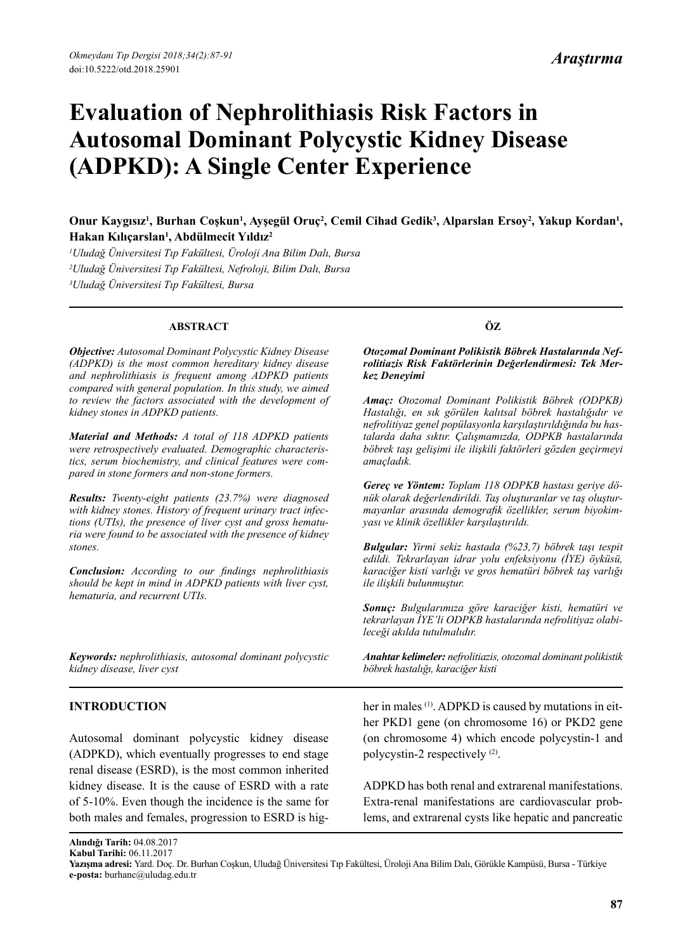# **Evaluation of Nephrolithiasis Risk Factors in Autosomal Dominant Polycystic Kidney Disease (ADPKD): A Single Center Experience**

# Onur Kaygısız<sup>ı</sup>, Burhan Coşkun<sup>ı</sup>, Ayşegül Oruç<sup>2</sup>, Cemil Cihad Gedik<sup>3</sup>, Alparslan Ersoy<sup>2</sup>, Yakup Kordan<sup>ı</sup>, **Hakan Kılıçarslan1 , Abdülmecit Yıldız2**

*1 Uludağ Üniversitesi Tıp Fakültesi, Üroloji Ana Bilim Dalı, Bursa 2 Uludağ Üniversitesi Tıp Fakültesi, Nefroloji, Bilim Dalı, Bursa 3 Uludağ Üniversitesi Tıp Fakültesi, Bursa*

#### **ABSTRACT**

*Objective: Autosomal Dominant Polycystic Kidney Disease (ADPKD) is the most common hereditary kidney disease and nephrolithiasis is frequent among ADPKD patients compared with general population. In this study, we aimed to review the factors associated with the development of kidney stones in ADPKD patients.*

*Material and Methods: A total of 118 ADPKD patients were retrospectively evaluated. Demographic characteristics, serum biochemistry, and clinical features were compared in stone formers and non-stone formers.* 

*Results: Twenty-eight patients (23.7%) were diagnosed with kidney stones. History of frequent urinary tract infections (UTIs), the presence of liver cyst and gross hematuria were found to be associated with the presence of kidney stones.*

*Conclusion: According to our findings nephrolithiasis should be kept in mind in ADPKD patients with liver cyst, hematuria, and recurrent UTIs.*

*Keywords: nephrolithiasis, autosomal dominant polycystic kidney disease, liver cyst*

# **INTRODUCTION**

Autosomal dominant polycystic kidney disease (ADPKD), which eventually progresses to end stage renal disease (ESRD), is the most common inherited kidney disease. It is the cause of ESRD with a rate of 5-10%. Even though the incidence is the same for both males and females, progression to ESRD is hig-

# **ÖZ**

#### *Otozomal Dominant Polikistik Böbrek Hastalarında Nefrolitiazis Risk Faktörlerinin Değerlendirmesi: Tek Merkez Deneyimi*

*Amaç: Otozomal Dominant Polikistik Böbrek (ODPKB) Hastalığı, en sık görülen kalıtsal böbrek hastalığıdır ve nefrolitiyaz genel popülasyonla karşılaştırıldığında bu hastalarda daha sıktır. Çalışmamızda, ODPKB hastalarında böbrek taşı gelişimi ile ilişkili faktörleri gözden geçirmeyi amaçladık.*

*Gereç ve Yöntem: Toplam 118 ODPKB hastası geriye dönük olarak değerlendirildi. Taş oluşturanlar ve taş oluşturmayanlar arasında demografik özellikler, serum biyokimyası ve klinik özellikler karşılaştırıldı.* 

*Bulgular: Yirmi sekiz hastada (%23,7) böbrek taşı tespit edildi. Tekrarlayan idrar yolu enfeksiyonu (İYE) öyküsü, karaciğer kisti varlığı ve gros hematüri böbrek taş varlığı ile ilişkili bulunmuştur.*

*Sonuç: Bulgularımıza göre karaciğer kisti, hematüri ve tekrarlayan İYE'li ODPKB hastalarında nefrolitiyaz olabileceği akılda tutulmalıdır.*

*Anahtar kelimeler: nefrolitiazis, otozomal dominant polikistik böbrek hastalığı, karaciğer kisti*

her in males <sup>(1)</sup>. ADPKD is caused by mutations in either PKD1 gene (on chromosome 16) or PKD2 gene (on chromosome 4) which encode polycystin-1 and polycystin-2 respectively (2).

ADPKD has both renal and extrarenal manifestations. Extra-renal manifestations are cardiovascular problems, and extrarenal cysts like hepatic and pancreatic

**Alındığı Tarih:** 04.08.2017

**Kabul Tarihi:** 06.11.2017

**Yazışma adresi:** Yard. Doç. Dr. Burhan Coşkun, Uludağ Üniversitesi Tıp Fakültesi, Üroloji Ana Bilim Dalı, Görükle Kampüsü, Bursa - Türkiye **e-posta:** burhanc@uludag.edu.tr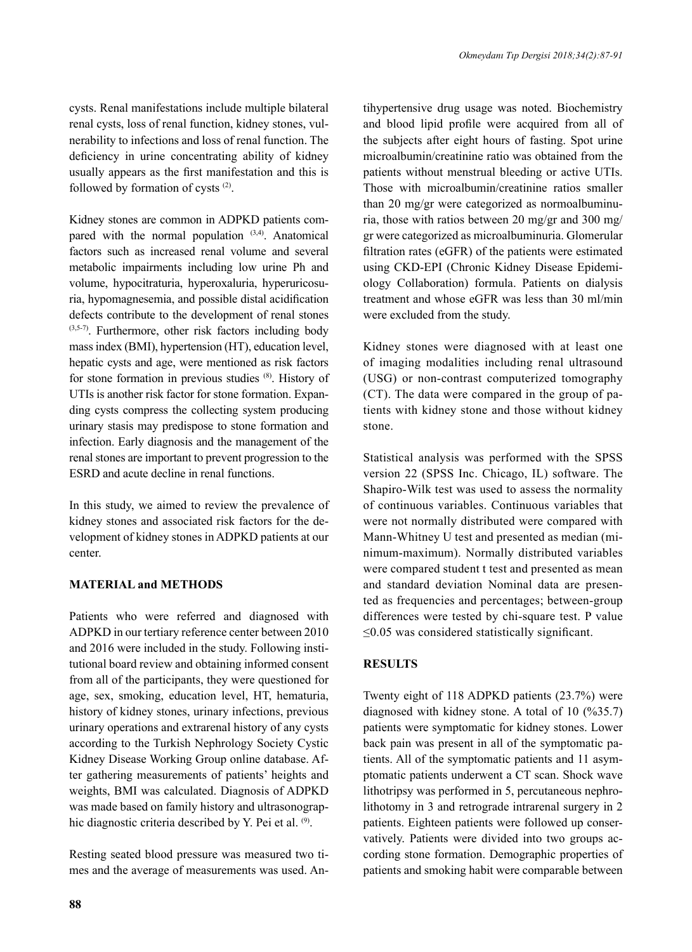tihypertensive drug usage was noted. Biochemistry and blood lipid profile were acquired from all of the subjects after eight hours of fasting. Spot urine microalbumin/creatinine ratio was obtained from the

cysts. Renal manifestations include multiple bilateral renal cysts, loss of renal function, kidney stones, vulnerability to infections and loss of renal function. The deficiency in urine concentrating ability of kidney usually appears as the first manifestation and this is followed by formation of cysts (2).

Kidney stones are common in ADPKD patients compared with the normal population  $(3,4)$ . Anatomical factors such as increased renal volume and several metabolic impairments including low urine Ph and volume, hypocitraturia, hyperoxaluria, hyperuricosuria, hypomagnesemia, and possible distal acidification defects contribute to the development of renal stones (3,5-7). Furthermore, other risk factors including body mass index (BMI), hypertension (HT), education level, hepatic cysts and age, were mentioned as risk factors for stone formation in previous studies (8). History of UTIs is another risk factor for stone formation. Expanding cysts compress the collecting system producing urinary stasis may predispose to stone formation and infection. Early diagnosis and the management of the renal stones are important to prevent progression to the ESRD and acute decline in renal functions.

In this study, we aimed to review the prevalence of kidney stones and associated risk factors for the development of kidney stones in ADPKD patients at our center.

# **MATERIAL and METHODS**

Patients who were referred and diagnosed with ADPKD in our tertiary reference center between 2010 and 2016 were included in the study. Following institutional board review and obtaining informed consent from all of the participants, they were questioned for age, sex, smoking, education level, HT, hematuria, history of kidney stones, urinary infections, previous urinary operations and extrarenal history of any cysts according to the Turkish Nephrology Society Cystic Kidney Disease Working Group online database. After gathering measurements of patients' heights and weights, BMI was calculated. Diagnosis of ADPKD was made based on family history and ultrasonographic diagnostic criteria described by Y. Pei et al. (9).

Resting seated blood pressure was measured two times and the average of measurements was used. An-

patients without menstrual bleeding or active UTIs. Those with microalbumin/creatinine ratios smaller than 20 mg/gr were categorized as normoalbuminuria, those with ratios between 20 mg/gr and 300 mg/ gr were categorized as microalbuminuria. Glomerular filtration rates (eGFR) of the patients were estimated using CKD-EPI (Chronic Kidney Disease Epidemiology Collaboration) formula. Patients on dialysis treatment and whose eGFR was less than 30 ml/min were excluded from the study. Kidney stones were diagnosed with at least one of imaging modalities including renal ultrasound (USG) or non-contrast computerized tomography (CT). The data were compared in the group of patients with kidney stone and those without kidney

Statistical analysis was performed with the SPSS version 22 (SPSS Inc. Chicago, IL) software. The Shapiro-Wilk test was used to assess the normality of continuous variables. Continuous variables that were not normally distributed were compared with Mann-Whitney U test and presented as median (minimum-maximum). Normally distributed variables were compared student t test and presented as mean and standard deviation Nominal data are presented as frequencies and percentages; between-group differences were tested by chi-square test. P value ≤0.05 was considered statistically significant.

# **RESULTS**

stone.

Twenty eight of 118 ADPKD patients (23.7%) were diagnosed with kidney stone. A total of 10 (%35.7) patients were symptomatic for kidney stones. Lower back pain was present in all of the symptomatic patients. All of the symptomatic patients and 11 asymptomatic patients underwent a CT scan. Shock wave lithotripsy was performed in 5, percutaneous nephrolithotomy in 3 and retrograde intrarenal surgery in 2 patients. Eighteen patients were followed up conservatively. Patients were divided into two groups according stone formation. Demographic properties of patients and smoking habit were comparable between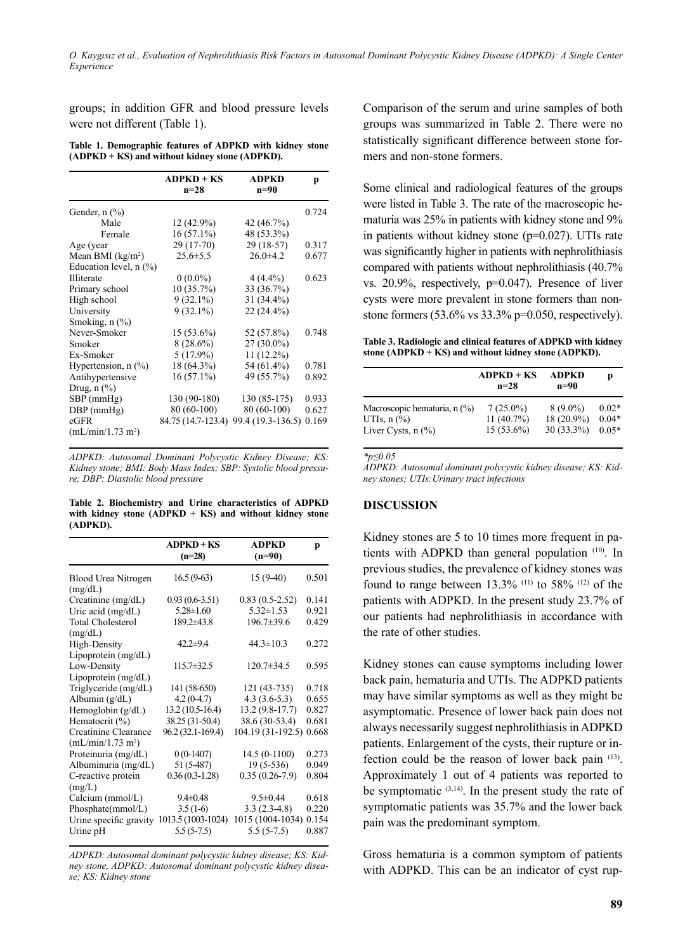*O. Kaygısız et al., Evaluation of Nephrolithiasis Risk Factors in Autosomal Dominant Polycystic Kidney Disease (ADPKD): A Single Center Experience*

groups; in addition GFR and blood pressure levels were not different (Table 1).

**Table 1. Demographic features of ADPKD with kidney stone (ADPKD + KS) and without kidney stone (ADPKD).**

|                                        | $ADPKD + KS$<br>$n = 28$ | <b>ADPKD</b><br>n=90 | p     |
|----------------------------------------|--------------------------|----------------------|-------|
| Gender, $n$ $\left(\frac{9}{6}\right)$ |                          |                      | 0.724 |
| Male                                   | 12 (42.9%)               | 42 (46.7%)           |       |
| Female                                 | $16(57.1\%)$             | 48 (53.3%)           |       |
| Age (year                              | $29(17-70)$              | $29(18-57)$          | 0.317 |
| Mean BMI $(kg/m2)$                     | $25.6 \pm 5.5$           | $26.0 \pm 4.2$       | 0.677 |
| Education level, $n$ $(\%)$            |                          |                      |       |
| Illiterate                             | $0(0.0\%)$               | $4(4.4\%)$           | 0.623 |
| Primary school                         | $10(35.7\%)$             | 33 (36.7%)           |       |
| High school                            | $9(32.1\%)$              | $31(34.4\%)$         |       |
| University                             | $9(32.1\%)$              | 22 (24.4%)           |       |
| Smoking, $n$ $(\%)$                    |                          |                      |       |
| Never-Smoker                           | $15(53.6\%)$             | 52 (57.8%)           | 0.748 |
| Smoker                                 | $8(28.6\%)$              | $27(30.0\%)$         |       |
| Ex-Smoker                              | $5(17.9\%)$              | $11(12.2\%)$         |       |
| Hypertension, $n$ $(\%)$               | 18 (64.3%)               | 54 (61.4%)           | 0.781 |
| Antihypertensive                       | $16(57.1\%)$             | 49 (55.7%)           | 0.892 |
| Drug, $n$ $(\%)$                       |                          |                      |       |
| $SBP$ (mmHg)                           | 130 (90-180)             | 130 (85-175)         | 0.933 |
| $DBP$ (mmHg)                           | 80 (60-100)              | 80 (60-100)          | 0.627 |
| eGFR                                   | 84.75 (14.7-123.4)       | 99.4 (19.3-136.5)    | 0.169 |
| (mL/min/1.73 m <sup>2</sup> )          |                          |                      |       |

*ADPKD: Autosomal Dominant Polycystic Kidney Disease; KS: Kidney stone; BMI: Body Mass Index; SBP: Systolic blood pressure; DBP: Diastolic blood pressure*

**Table 2. Biochemistry and Urine characteristics of ADPKD with kidney stone (ADPKD + KS) and without kidney stone (ADPKD).**

|                                | $ADPKD + KS$<br>$(n=28)$ | <b>ADPKD</b><br>$(n=90)$ | р     |
|--------------------------------|--------------------------|--------------------------|-------|
| Blood Urea Nitrogen<br>(mg/dL) | $16.5(9-63)$             | $15(9-40)$               | 0.501 |
| Creatinine (mg/dL)             | $0.93(0.6-3.51)$         | $0.83(0.5-2.52)$         | 0.141 |
| Uric acid $(mg/dL)$            | $5.28 \pm 1.60$          | $5.32 \pm 1.53$          | 0.921 |
| <b>Total Cholesterol</b>       | $189.2 \pm 43.8$         | 196.7±39.6               | 0.429 |
| (mg/dL)                        |                          |                          |       |
| High-Density                   | $42.2 + 9.4$             | $44.3 \pm 10.3$          | 0.272 |
| Lipoprotein $(mg/dL)$          |                          |                          |       |
| Low-Density                    | $115.7\pm32.5$           | $120.7\pm34.5$           | 0.595 |
| Lipoprotein (mg/dL)            |                          |                          |       |
| Triglyceride (mg/dL)           | 141 (58-650)             | 121 (43-735)             | 0.718 |
| Albumin $(g/dL)$               | $4.2(0-4.7)$             | $4.3(3.6-5.3)$           | 0.655 |
| Hemoglobin $(g/dL)$            | $13.2(10.5-16.4)$        | $13.2(9.8-17.7)$         | 0.827 |
| Hematocrit $(\% )$             | 38.25 (31-50.4)          | 38.6 (30-53.4)           | 0.681 |
| Creatinine Clearance           | 96.2 (32.1-169.4)        | 104.19 (31-192.5)        | 0.668 |
| (mL/min/1.73 m <sup>2</sup> )  |                          |                          |       |
| Proteinuria (mg/dL)            | $0(0-1407)$              | $14.5(0-1100)$           | 0.273 |
| Albuminuria (mg/dL)            | 51 (5-487)               | $19(5-536)$              | 0.049 |
| C-reactive protein             | $0.36(0.3-1.28)$         | $0.35(0.26-7.9)$         | 0.804 |
| (mg/L)                         |                          |                          |       |
| Calcium $(mmol/L)$             | $9.4 \pm 0.48$           | $9.5 \pm 0.44$           | 0.618 |
| Phosphate(mmol/L)              | $3.5(1-6)$               | $3.3(2.3-4.8)$           | 0.220 |
| Urine specific gravity         | 1013.5 (1003-1024)       | 1015 (1004-1034)         | 0.154 |
| Urine pH                       | $5.5(5-7.5)$             | $5.5(5-7.5)$             | 0.887 |

*ADPKD: Autosomal dominant polycystic kidney disease; KS: Kidney stone, ADPKD: Autosomal dominant polycystic kidney disease; KS: Kidney stone*

Comparison of the serum and urine samples of both groups was summarized in Table 2. There were no statistically significant difference between stone formers and non-stone formers.

Some clinical and radiological features of the groups were listed in Table 3. The rate of the macroscopic hematuria was 25% in patients with kidney stone and 9% in patients without kidney stone (p=0.027). UTIs rate was significantly higher in patients with nephrolithiasis compared with patients without nephrolithiasis (40.7% vs. 20.9%, respectively, p=0.047). Presence of liver cysts were more prevalent in stone formers than nonstone formers (53.6% vs 33.3% p=0.050, respectively).

**Table 3. Radiologic and clinical features of ADPKD with kidney stone (ADPKD + KS) and without kidney stone (ADPKD).**

|                                             | $ADPKD + KS$<br>$n = 28$ | ADPKD<br>n=90 | D       |
|---------------------------------------------|--------------------------|---------------|---------|
| Macroscopic hematuria, n (%)                | $7(25.0\%)$              | $8(9.0\%)$    | $0.02*$ |
| UTIs, $n$ $(\%)$                            | $11(40.7\%)$             | 18 (20.9%)    | $0.04*$ |
| Liver Cysts, $n$ $\left(\frac{9}{6}\right)$ | $15(53.6\%)$             | $30(33.3\%)$  | $0.05*$ |

*\*p≤0.05*

*ADPKD: Autosomal dominant polycystic kidney disease; KS: Kidney stones; UTIs:Urinary tract infections*

# **DISCUSSION**

Kidney stones are 5 to 10 times more frequent in patients with ADPKD than general population (10). In previous studies, the prevalence of kidney stones was found to range between  $13.3\%$  (11) to 58% (12) of the patients with ADPKD. In the present study 23.7% of our patients had nephrolithiasis in accordance with the rate of other studies.

Kidney stones can cause symptoms including lower back pain, hematuria and UTIs. The ADPKD patients may have similar symptoms as well as they might be asymptomatic. Presence of lower back pain does not always necessarily suggest nephrolithiasis in ADPKD patients. Enlargement of the cysts, their rupture or infection could be the reason of lower back pain (13). Approximately 1 out of 4 patients was reported to be symptomatic  $(3,14)$ . In the present study the rate of symptomatic patients was 35.7% and the lower back pain was the predominant symptom.

Gross hematuria is a common symptom of patients with ADPKD. This can be an indicator of cyst rup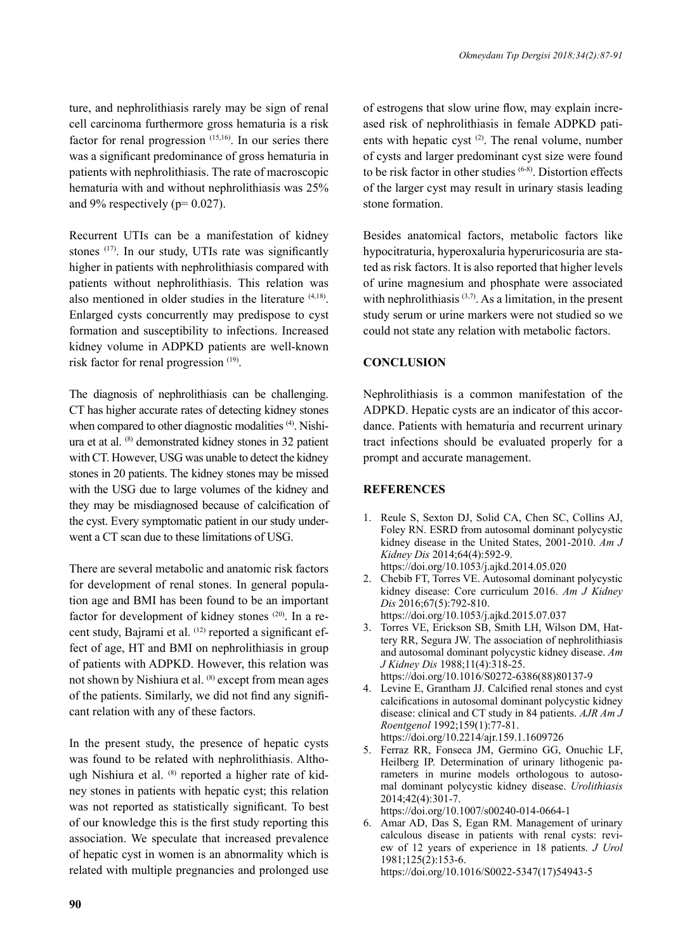ture, and nephrolithiasis rarely may be sign of renal cell carcinoma furthermore gross hematuria is a risk factor for renal progression (15,16). In our series there was a significant predominance of gross hematuria in patients with nephrolithiasis. The rate of macroscopic hematuria with and without nephrolithiasis was 25% and  $9\%$  respectively ( $p=0.027$ ).

Recurrent UTIs can be a manifestation of kidney stones (17). In our study, UTIs rate was significantly higher in patients with nephrolithiasis compared with patients without nephrolithiasis. This relation was also mentioned in older studies in the literature (4,18). Enlarged cysts concurrently may predispose to cyst formation and susceptibility to infections. Increased kidney volume in ADPKD patients are well-known risk factor for renal progression (19).

The diagnosis of nephrolithiasis can be challenging. CT has higher accurate rates of detecting kidney stones when compared to other diagnostic modalities <sup>(4)</sup>. Nishiura et at al. (8) demonstrated kidney stones in 32 patient with CT. However, USG was unable to detect the kidney stones in 20 patients. The kidney stones may be missed with the USG due to large volumes of the kidney and they may be misdiagnosed because of calcification of the cyst. Every symptomatic patient in our study underwent a CT scan due to these limitations of USG.

There are several metabolic and anatomic risk factors for development of renal stones. In general population age and BMI has been found to be an important factor for development of kidney stones <sup>(20)</sup>. In a recent study, Bajrami et al. (12) reported a significant effect of age, HT and BMI on nephrolithiasis in group of patients with ADPKD. However, this relation was not shown by Nishiura et al. (8) except from mean ages of the patients. Similarly, we did not find any significant relation with any of these factors.

In the present study, the presence of hepatic cysts was found to be related with nephrolithiasis. Although Nishiura et al. (8) reported a higher rate of kidney stones in patients with hepatic cyst; this relation was not reported as statistically significant. To best of our knowledge this is the first study reporting this association. We speculate that increased prevalence of hepatic cyst in women is an abnormality which is related with multiple pregnancies and prolonged use

of estrogens that slow urine flow, may explain increased risk of nephrolithiasis in female ADPKD patients with hepatic cyst (2). The renal volume, number of cysts and larger predominant cyst size were found to be risk factor in other studies (6-8). Distortion effects of the larger cyst may result in urinary stasis leading stone formation.

Besides anatomical factors, metabolic factors like hypocitraturia, hyperoxaluria hyperuricosuria are stated as risk factors. It is also reported that higher levels of urine magnesium and phosphate were associated with nephrolithiasis  $(3,7)$ . As a limitation, in the present study serum or urine markers were not studied so we could not state any relation with metabolic factors.

# **CONCLUSION**

Nephrolithiasis is a common manifestation of the ADPKD. Hepatic cysts are an indicator of this accordance. Patients with hematuria and recurrent urinary tract infections should be evaluated properly for a prompt and accurate management.

# **REFERENCES**

- 1. Reule S, Sexton DJ, Solid CA, Chen SC, Collins AJ, Foley RN. ESRD from autosomal dominant polycystic kidney disease in the United States, 2001-2010. *Am J Kidney Dis* 2014;64(4):592-9. https://doi.org/10.1053/j.ajkd.2014.05.020
- 2. Chebib FT, Torres VE. Autosomal dominant polycystic kidney disease: Core curriculum 2016. *Am J Kidney Dis* 2016;67(5):792-810. https://doi.org/10.1053/j.ajkd.2015.07.037
- 3. Torres VE, Erickson SB, Smith LH, Wilson DM, Hattery RR, Segura JW. The association of nephrolithiasis and autosomal dominant polycystic kidney disease. *Am J Kidney Dis* 1988;11(4):318-25. https://doi.org/10.1016/S0272-6386(88)80137-9
- 4. Levine E, Grantham JJ. Calcified renal stones and cyst calcifications in autosomal dominant polycystic kidney disease: clinical and CT study in 84 patients. *AJR Am J Roentgenol* 1992;159(1):77-81. https://doi.org/10.2214/ajr.159.1.1609726
- 5. Ferraz RR, Fonseca JM, Germino GG, Onuchic LF, Heilberg IP. Determination of urinary lithogenic parameters in murine models orthologous to autosomal dominant polycystic kidney disease. *Urolithiasis* 2014;42(4):301-7. https://doi.org/10.1007/s00240-014-0664-1
- 6. Amar AD, Das S, Egan RM. Management of urinary
- calculous disease in patients with renal cysts: review of 12 years of experience in 18 patients. *J Urol*  1981;125(2):153-6. https://doi.org/10.1016/S0022-5347(17)54943-5